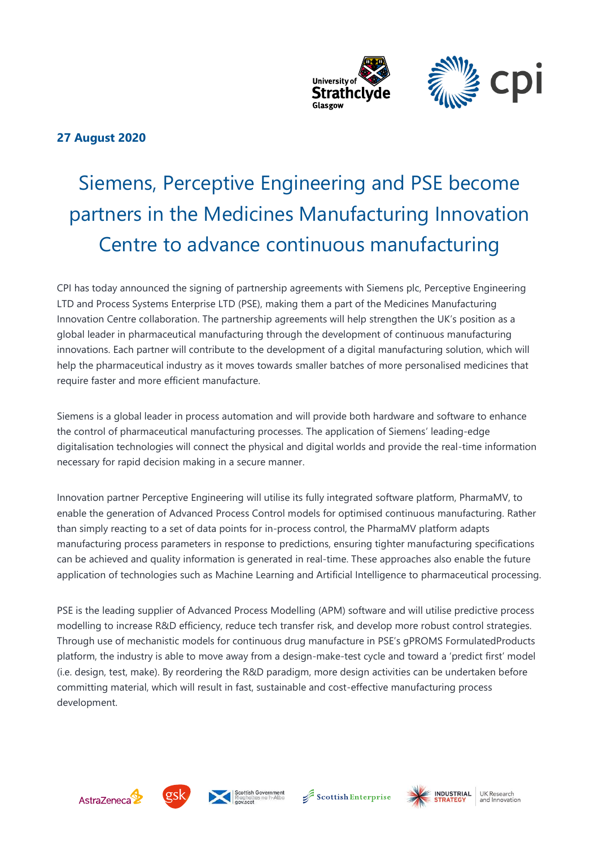

# **27 August 2020**

# Siemens, Perceptive Engineering and PSE become partners in the Medicines Manufacturing Innovation Centre to advance continuous manufacturing

CPI has today announced the signing of partnership agreements with Siemens plc, Perceptive Engineering LTD and Process Systems Enterprise LTD (PSE), making them a part of the Medicines Manufacturing Innovation Centre collaboration. The partnership agreements will help strengthen the UK's position as a global leader in pharmaceutical manufacturing through the development of continuous manufacturing innovations. Each partner will contribute to the development of a digital manufacturing solution, which will help the pharmaceutical industry as it moves towards smaller batches of more personalised medicines that require faster and more efficient manufacture.

Siemens is a global leader in process automation and will provide both hardware and software to enhance the control of pharmaceutical manufacturing processes. The application of Siemens' leading-edge digitalisation technologies will connect the physical and digital worlds and provide the real-time information necessary for rapid decision making in a secure manner.

Innovation partner Perceptive Engineering will utilise its fully integrated software platform, PharmaMV, to enable the generation of Advanced Process Control models for optimised continuous manufacturing. Rather than simply reacting to a set of data points for in-process control, the PharmaMV platform adapts manufacturing process parameters in response to predictions, ensuring tighter manufacturing specifications can be achieved and quality information is generated in real-time. These approaches also enable the future application of technologies such as Machine Learning and Artificial Intelligence to pharmaceutical processing.

PSE is the leading supplier of Advanced Process Modelling (APM) software and will utilise predictive process modelling to increase R&D efficiency, reduce tech transfer risk, and develop more robust control strategies. Through use of mechanistic models for continuous drug manufacture in PSE's gPROMS FormulatedProducts platform, the industry is able to move away from a design-make-test cycle and toward a 'predict first' model (i.e. design, test, make). By reordering the R&D paradigm, more design activities can be undertaken before committing material, which will result in fast, sustainable and cost-effective manufacturing process development.









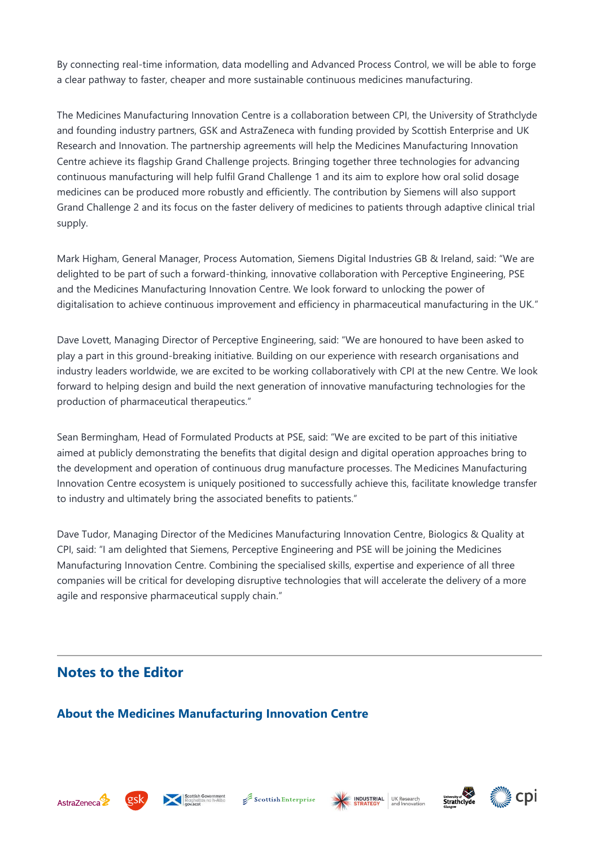By connecting real-time information, data modelling and Advanced Process Control, we will be able to forge a clear pathway to faster, cheaper and more sustainable continuous medicines manufacturing.

The Medicines Manufacturing Innovation Centre is a collaboration between CPI, the University of Strathclyde and founding industry partners, GSK and AstraZeneca with funding provided by Scottish Enterprise and UK Research and Innovation. The partnership agreements will help the Medicines Manufacturing Innovation Centre achieve its flagship Grand Challenge projects. Bringing together three technologies for advancing continuous manufacturing will help fulfil Grand Challenge 1 and its aim to explore how oral solid dosage medicines can be produced more robustly and efficiently. The contribution by Siemens will also support Grand Challenge 2 and its focus on the faster delivery of medicines to patients through adaptive clinical trial supply.

Mark Higham, General Manager, Process Automation, Siemens Digital Industries GB & Ireland, said: "We are delighted to be part of such a forward-thinking, innovative collaboration with Perceptive Engineering, PSE and the Medicines Manufacturing Innovation Centre. We look forward to unlocking the power of digitalisation to achieve continuous improvement and efficiency in pharmaceutical manufacturing in the UK."

Dave Lovett, Managing Director of Perceptive Engineering, said: "We are honoured to have been asked to play a part in this ground-breaking initiative. Building on our experience with research organisations and industry leaders worldwide, we are excited to be working collaboratively with CPI at the new Centre. We look forward to helping design and build the next generation of innovative manufacturing technologies for the production of pharmaceutical therapeutics."

Sean Bermingham, Head of Formulated Products at PSE, said: "We are excited to be part of this initiative aimed at publicly demonstrating the benefits that digital design and digital operation approaches bring to the development and operation of continuous drug manufacture processes. The Medicines Manufacturing Innovation Centre ecosystem is uniquely positioned to successfully achieve this, facilitate knowledge transfer to industry and ultimately bring the associated benefits to patients."

Dave Tudor, Managing Director of the Medicines Manufacturing Innovation Centre, Biologics & Quality at CPI, said: "I am delighted that Siemens, Perceptive Engineering and PSE will be joining the Medicines Manufacturing Innovation Centre. Combining the specialised skills, expertise and experience of all three companies will be critical for developing disruptive technologies that will accelerate the delivery of a more agile and responsive pharmaceutical supply chain."

# **Notes to the Editor**

### **About the Medicines Manufacturing Innovation Centre**













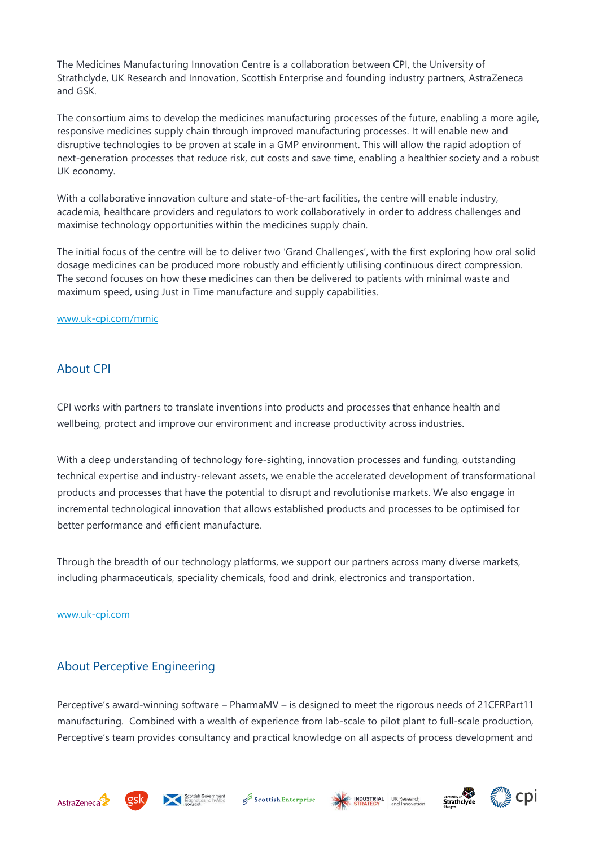The Medicines Manufacturing Innovation Centre is a collaboration between CPI, the University of Strathclyde, UK Research and Innovation, Scottish Enterprise and founding industry partners, AstraZeneca and GSK.

The consortium aims to develop the medicines manufacturing processes of the future, enabling a more agile, responsive medicines supply chain through improved manufacturing processes. It will enable new and disruptive technologies to be proven at scale in a GMP environment. This will allow the rapid adoption of next-generation processes that reduce risk, cut costs and save time, enabling a healthier society and a robust UK economy.

With a collaborative innovation culture and state-of-the-art facilities, the centre will enable industry, academia, healthcare providers and regulators to work collaboratively in order to address challenges and maximise technology opportunities within the medicines supply chain.

The initial focus of the centre will be to deliver two 'Grand Challenges', with the first exploring how oral solid dosage medicines can be produced more robustly and efficiently utilising continuous direct compression. The second focuses on how these medicines can then be delivered to patients with minimal waste and maximum speed, using Just in Time manufacture and supply capabilities.

#### [www.uk-cpi.com/mmic](http://www.uk-cpi.com/mmic)

#### About CPI

CPI works with partners to translate inventions into products and processes that enhance health and wellbeing, protect and improve our environment and increase productivity across industries.

With a deep understanding of technology fore-sighting, innovation processes and funding, outstanding technical expertise and industry-relevant assets, we enable the accelerated development of transformational products and processes that have the potential to disrupt and revolutionise markets. We also engage in incremental technological innovation that allows established products and processes to be optimised for better performance and efficient manufacture.

Through the breadth of our technology platforms, we support our partners across many diverse markets, including pharmaceuticals, speciality chemicals, food and drink, electronics and transportation.

[www.uk-cpi.com](http://www.uk-cpi.com/) 

#### About Perceptive Engineering

Perceptive's award-winning software – PharmaMV – is designed to meet the rigorous needs of 21CFRPart11 manufacturing. Combined with a wealth of experience from lab-scale to pilot plant to full-scale production, Perceptive's team provides consultancy and practical knowledge on all aspects of process development and













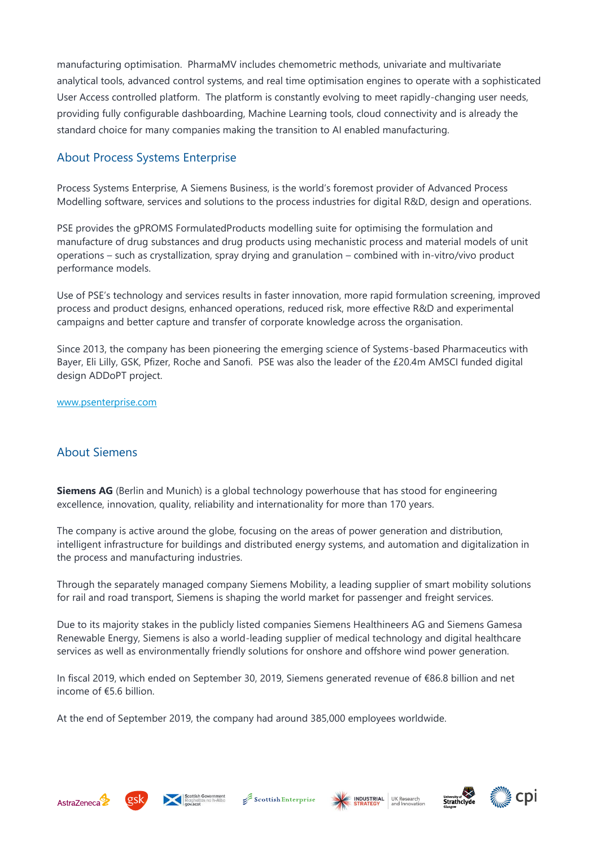manufacturing optimisation. PharmaMV includes chemometric methods, univariate and multivariate analytical tools, advanced control systems, and real time optimisation engines to operate with a sophisticated User Access controlled platform. The platform is constantly evolving to meet rapidly-changing user needs, providing fully configurable dashboarding, Machine Learning tools, cloud connectivity and is already the standard choice for many companies making the transition to AI enabled manufacturing.

#### About Process Systems Enterprise

Process Systems Enterprise, A Siemens Business, is the world's foremost provider of Advanced Process Modelling software, services and solutions to the process industries for digital R&D, design and operations.

PSE provides the gPROMS FormulatedProducts modelling suite for optimising the formulation and manufacture of drug substances and drug products using mechanistic process and material models of unit operations – such as crystallization, spray drying and granulation – combined with in-vitro/vivo product performance models.

Use of PSE's technology and services results in faster innovation, more rapid formulation screening, improved process and product designs, enhanced operations, reduced risk, more effective R&D and experimental campaigns and better capture and transfer of corporate knowledge across the organisation.

Since 2013, the company has been pioneering the emerging science of Systems-based Pharmaceutics with Bayer, Eli Lilly, GSK, Pfizer, Roche and Sanofi. PSE was also the leader of the £20.4m AMSCI funded digital design ADDoPT project.

[www.psenterprise.com](https://www.psenterprise.com/)

#### About Siemens

**Siemens AG** (Berlin and Munich) is a global technology powerhouse that has stood for engineering excellence, innovation, quality, reliability and internationality for more than 170 years.

The company is active around the globe, focusing on the areas of power generation and distribution, intelligent infrastructure for buildings and distributed energy systems, and automation and digitalization in the process and manufacturing industries.

Through the separately managed company Siemens Mobility, a leading supplier of smart mobility solutions for rail and road transport, Siemens is shaping the world market for passenger and freight services.

Due to its majority stakes in the publicly listed companies Siemens Healthineers AG and Siemens Gamesa Renewable Energy, Siemens is also a world-leading supplier of medical technology and digital healthcare services as well as environmentally friendly solutions for onshore and offshore wind power generation.

In fiscal 2019, which ended on September 30, 2019, Siemens generated revenue of €86.8 billion and net income of €5.6 billion.

At the end of September 2019, the company had around 385,000 employees worldwide.













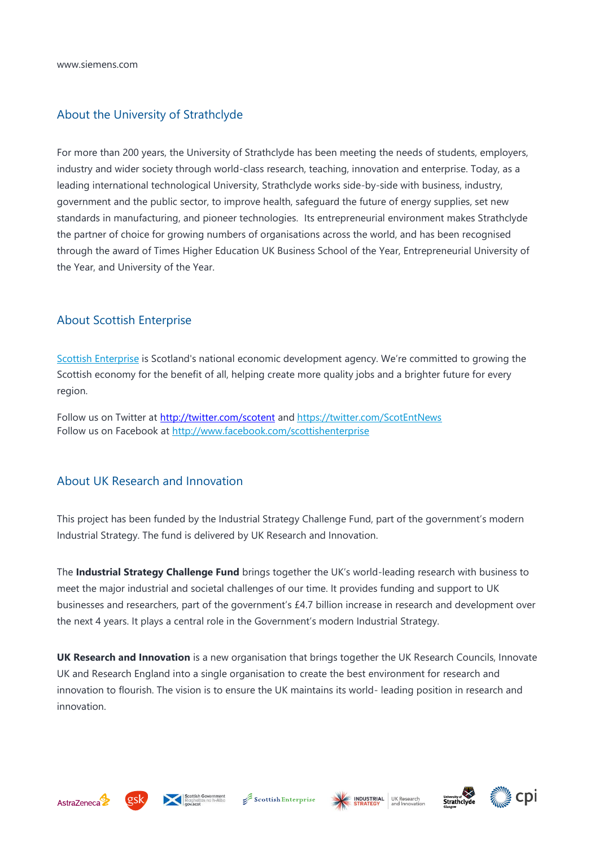#### About the University of Strathclyde

For more than 200 years, the University of Strathclyde has been meeting the needs of students, employers, industry and wider society through world-class research, teaching, innovation and enterprise. Today, as a leading international technological University, Strathclyde works side-by-side with business, industry, government and the public sector, to improve health, safeguard the future of energy supplies, set new standards in manufacturing, and pioneer technologies. Its entrepreneurial environment makes Strathclyde the partner of choice for growing numbers of organisations across the world, and has been recognised through the award of Times Higher Education UK Business School of the Year, Entrepreneurial University of the Year, and University of the Year.

#### About Scottish Enterprise

[Scottish Enterprise](http://www.scottish-enterprise.com/) is Scotland's national economic development agency. We're committed to growing the Scottish economy for the benefit of all, helping create more quality jobs and a brighter future for every region.

Follow us on Twitter at <http://twitter.com/scotent> and <https://twitter.com/ScotEntNews> Follow us on Facebook at <http://www.facebook.com/scottishenterprise>

#### About UK Research and Innovation

This project has been funded by the Industrial Strategy Challenge Fund, part of the government's modern Industrial Strategy. The fund is delivered by UK Research and Innovation.

The **Industrial Strategy Challenge Fund** brings together the UK's world-leading research with business to meet the major industrial and societal challenges of our time. It provides funding and support to UK businesses and researchers, part of the government's £4.7 billion increase in research and development over the next 4 years. It plays a central role in the Government's modern Industrial Strategy.

**UK Research and Innovation** is a new organisation that brings together the UK Research Councils, Innovate UK and Research England into a single organisation to create the best environment for research and innovation to flourish. The vision is to ensure the UK maintains its world- leading position in research and innovation.